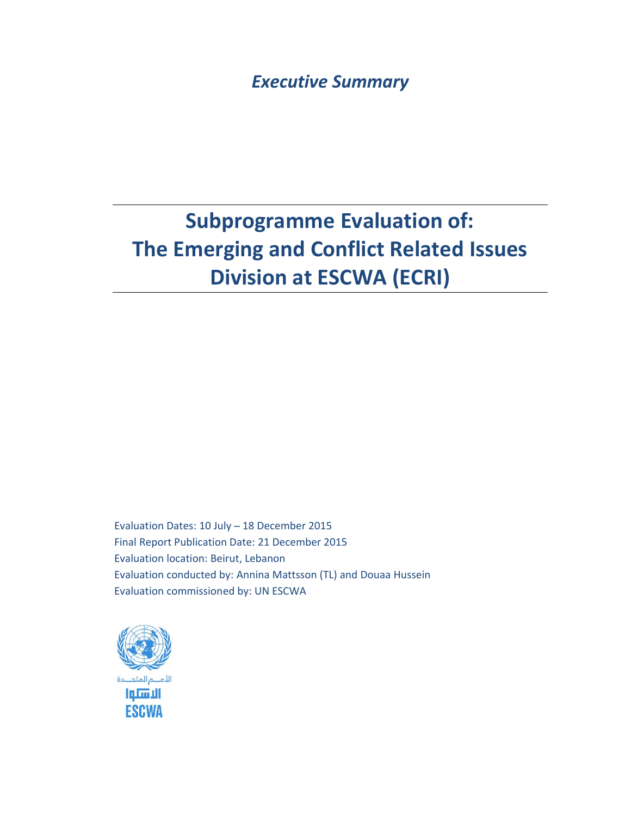*Executive Summary*

## Subprogramme Evaluation of: The Emerging and Conflict Related Issues Division at ESCWA (ECRI)

Evaluation Dates:  $10$  July  $-18$  December 2015 Final Report Publication Date: 21 December 2015 Evaluation location: Beirut, Lebanon Evaluation conducted by: Annina Mattsson (TL) and Douaa Hussein Evaluation commissioned by: UN ESCWA

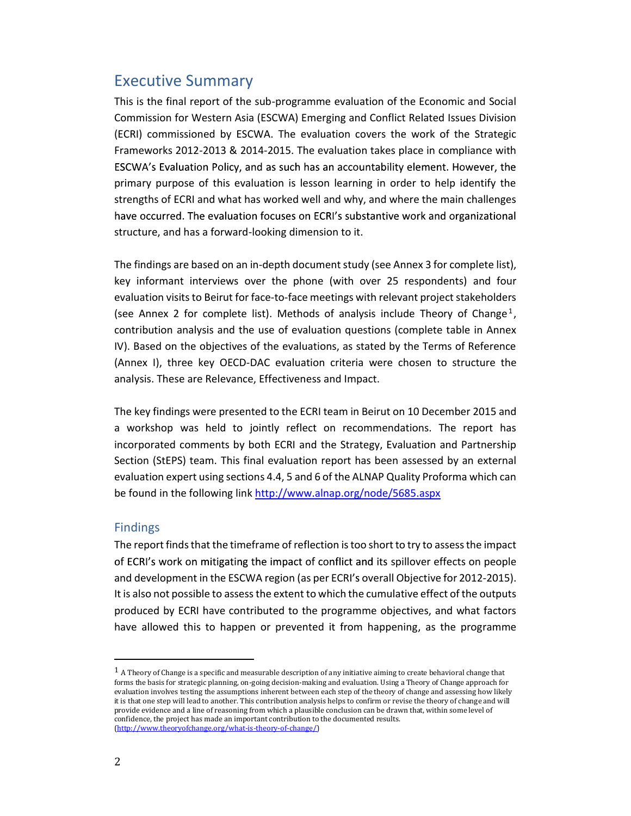## Executive Summary

This is the final report of the sub-programme evaluation of the Economic and Social Commission for Western Asia (ESCWA) Emerging and Conflict Related Issues Division (ECRI) commissioned by ESCWA. The evaluation covers the work of the Strategic Frameworks 2012-2013 & 2014-2015. The evaluation takes place in compliance with ESCWA's Evaluation Policy, and as such has an accountability element. However, the primary purpose of this evaluation is lesson learning in order to help identify the strengths of ECRI and what has worked well and why, and where the main challenges have occurred. The evaluation focuses on ECRI's substantive work and organizational structure, and has a forward-looking dimension to it.

The findings are based on an in-depth document study (see Annex 3 for complete list), key informant interviews over the phone (with over 25 respondents) and four evaluation visits to Beirut for face-to-face meetings with relevant project stakeholders (see Annex 2 for complete list). Methods of analysis include Theory of Change<sup>1</sup>, contribution analysis and the use of evaluation questions (complete table in Annex IV). Based on the objectives of the evaluations, as stated by the Terms of Reference (Annex I), three key OECD-DAC evaluation criteria were chosen to structure the analysis. These are Relevance, Effectiveness and Impact.

The key findings were presented to the ECRI team in Beirut on 10 December 2015 and a workshop was held to jointly reflect on recommendations. The report has incorporated comments by both ECRI and the Strategy, Evaluation and Partnership Section (StEPS) team. This final evaluation report has been assessed by an external evaluation expert using sections 4.4, 5 and 6 of the ALNAP Quality Proforma which can be found in the following link http://www.alnap.org/node/5685.aspx

## Findings

 

The report finds that the timeframe of reflection is too short to try to assess the impact of ECRI's work on mitigating the impact of conflict and its spillover effects on people and development in the ESCWA region (as per ECRI's overall Objective for 2012-2015). It is also not possible to assess the extent to which the cumulative effect of the outputs produced by ECRI have contributed to the programme objectives, and what factors have allowed this to happen or prevented it from happening, as the programme

 $1$  A Theory of Change is a specific and measurable description of any initiative aiming to create behavioral change that forms the basis for strategic planning, on-going decision-making and evaluation. Using a Theory of Change approach for evaluation involves testing the assumptions inherent between each step of the theory of change and assessing how likely it is that one step will lead to another. This contribution analysis helps to confirm or revise the theory of change and will provide evidence and a line of reasoning from which a plausible conclusion can be drawn that, within some level of confidence, the project has made an important contribution to the documented results. (http://www.theoryofchange.org/what-is-theory-of-change/)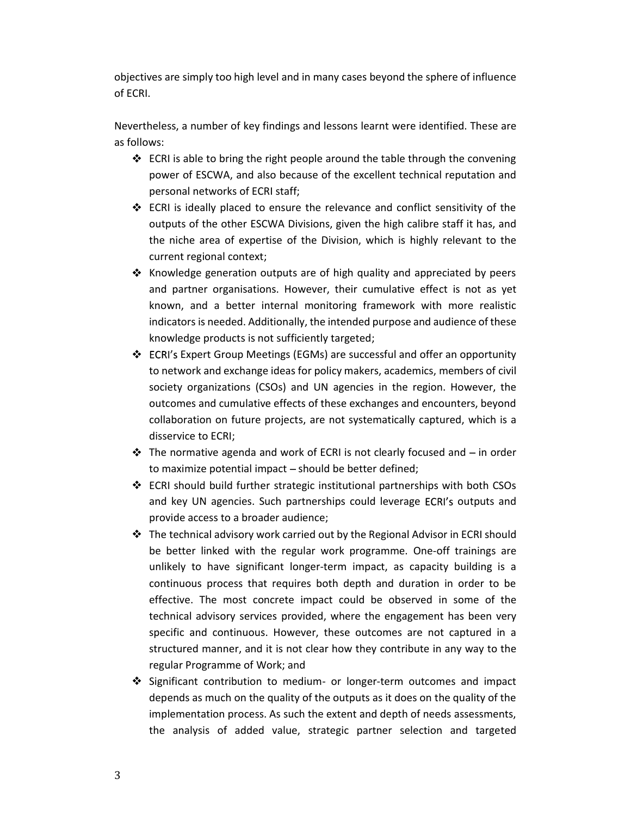objectives are simply too high level and in many cases beyond the sphere of influence of ECRI.

Nevertheless, a number of key findings and lessons learnt were identified. These are as follows:

- ❖ ECRI is able to bring the right people around the table through the convening power of ESCWA, and also because of the excellent technical reputation and personal networks of ECRI staff;
- ECRI is ideally placed to ensure the relevance and conflict sensitivity of the outputs of the other ESCWA Divisions, given the high calibre staff it has, and the niche area of expertise of the Division, which is highly relevant to the current regional context;
- $\cdot$  Knowledge generation outputs are of high quality and appreciated by peers and partner organisations. However, their cumulative effect is not as yet known, and a better internal monitoring framework with more realistic indicators is needed. Additionally, the intended purpose and audience of these knowledge products is not sufficiently targeted;
- $\div$  ECRI's Expert Group Meetings (EGMs) are successful and offer an opportunity to network and exchange ideas for policy makers, academics, members of civil society organizations (CSOs) and UN agencies in the region. However, the outcomes and cumulative effects of these exchanges and encounters, beyond collaboration on future projects, are not systematically captured, which is a disservice to ECRI;
- $\cdot$  The normative agenda and work of ECRI is not clearly focused and  $-$  in order to maximize potential impact  $-$  should be better defined;
- $\div$  ECRI should build further strategic institutional partnerships with both CSOs and key UN agencies. Such partnerships could leverage ECRI's outputs and provide access to a broader audience;
- The technical advisory work carried out by the Regional Advisor in ECRI should be better linked with the regular work programme. One-off trainings are unlikely to have significant longer-term impact, as capacity building is a continuous process that requires both depth and duration in order to be effective. The most concrete impact could be observed in some of the technical advisory services provided, where the engagement has been very specific and continuous. However, these outcomes are not captured in a structured manner, and it is not clear how they contribute in any way to the regular Programme of Work; and
- ❖ Significant contribution to medium- or longer-term outcomes and impact depends as much on the quality of the outputs as it does on the quality of the implementation process. As such the extent and depth of needs assessments, the analysis of added value, strategic partner selection and targeted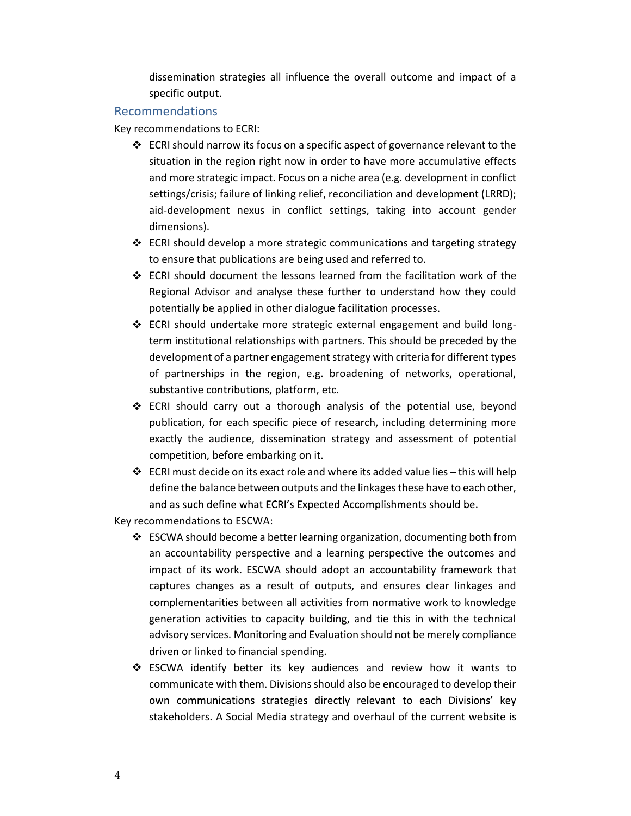dissemination strategies all influence the overall outcome and impact of a specific output.

## Recommendations

Key recommendations to ECRI:

- ECRI should narrow its focus on a specific aspect of governance relevant to the situation in the region right now in order to have more accumulative effects and more strategic impact. Focus on a niche area (e.g. development in conflict settings/crisis; failure of linking relief, reconciliation and development (LRRD); aid-development nexus in conflict settings, taking into account gender dimensions).
- $\cdot$  ECRI should develop a more strategic communications and targeting strategy to ensure that publications are being used and referred to.
- $\div$  ECRI should document the lessons learned from the facilitation work of the Regional Advisor and analyse these further to understand how they could potentially be applied in other dialogue facilitation processes.
- ❖ ECRI should undertake more strategic external engagement and build longterm institutional relationships with partners. This should be preceded by the development of a partner engagement strategy with criteria for different types of partnerships in the region, e.g. broadening of networks, operational, substantive contributions, platform, etc.
- ECRI should carry out a thorough analysis of the potential use, beyond publication, for each specific piece of research, including determining more exactly the audience, dissemination strategy and assessment of potential competition, before embarking on it.
- ECRI must decide on its exact role and where its added value lies this will help define the balance between outputs and the linkages these have to each other, and as such define what ECRI's Expected Accomplishments should be.

Key recommendations to ESCWA:

- ESCWA should become a better learning organization, documenting both from an accountability perspective and a learning perspective the outcomes and impact of its work. ESCWA should adopt an accountability framework that captures changes as a result of outputs, and ensures clear linkages and complementarities between all activities from normative work to knowledge generation activities to capacity building, and tie this in with the technical advisory services. Monitoring and Evaluation should not be merely compliance driven or linked to financial spending.
- ESCWA identify better its key audiences and review how it wants to communicate with them. Divisions should also be encouraged to develop their own communications strategies directly relevant to each Divisions' key stakeholders. A Social Media strategy and overhaul of the current website is